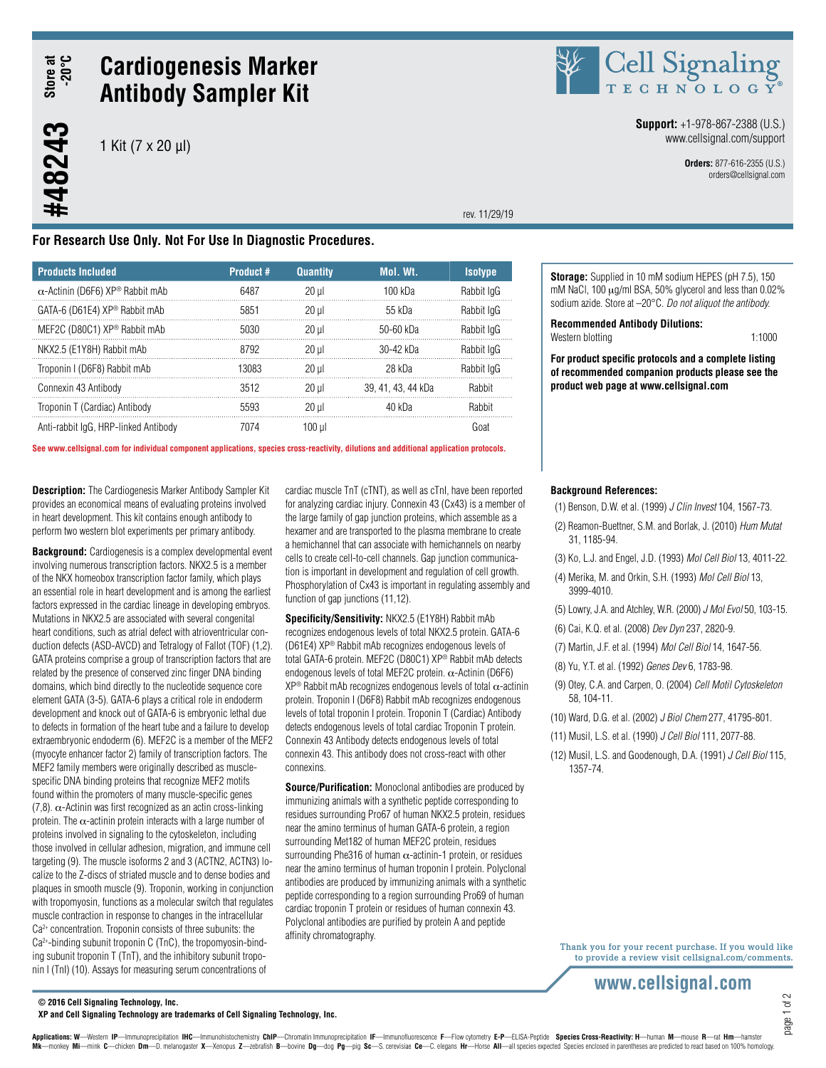Store at<br>-20°C **#48243 Store at -20°C**

#48243

# **Cardiogenesis Marker Antibody Sampler Kit**

1 Kit (7 x 20 µl)



**Storage:** Supplied in 10 mM sodium HEPES (pH 7.5), 150 mM NaCl, 100 µg/ml BSA, 50% glycerol and less than 0.02% sodium azide. Store at –20°C. *Do not aliquot the antibody.*

Western blotting 1:1000 **For product specific protocols and a complete listing of recommended companion products please see the** 

**Recommended Antibody Dilutions:**

**product web page at www.cellsignal.com**

**Support:** +1-978-867-2388 (U.S.) www.cellsignal.com/support

> **Orders:** 877-616-2355 (U.S.) orders@cellsignal.com

rev. 11/29/19

# **For Research Use Only. Not For Use In Diagnostic Procedures.**

| <b>Products Included</b>                | Product # | <b>Quantity</b> | <b>Mol. Wt.</b>    | <b>Isotype</b> |
|-----------------------------------------|-----------|-----------------|--------------------|----------------|
| $\alpha$ -Actinin (D6F6) XP® Rabbit mAb | 6487      | $20$ ul         | 100 kDa            | Rabbit IgG     |
| GATA-6 (D61E4) XP® Rabbit mAb           | 5851      | $20$ ul         | 55 kDa             | Rabbit IgG     |
| MEF2C (D80C1) XP® Rabbit mAb            | 5030      | 20 ul           | $50-60$ kDa        | Rabbit IgG     |
| NKX2.5 (E1Y8H) Rabbit mAb               | 8792      | $20$ ul         | $30-42$ kDa        | Rabbit IgG     |
| Troponin I (D6F8) Rabbit mAb            | 13083     | $20$ ul         | 28 kDa             | Rabbit IgG     |
| Connexin 43 Antibody                    | 3512      | $20$ ul         | 39, 41, 43, 44 kDa | Rahhit         |
| Troponin T (Cardiac) Antibody           | 5593      | 20 ul           | 40 kDa             | Rahhit         |
| Anti-rabbit IgG, HRP-linked Antibody    | 7074      | 100 ul          |                    | Goat           |

**See www.cellsignal.com for individual component applications, species cross-reactivity, dilutions and additional application protocols.**

**Description:** The Cardiogenesis Marker Antibody Sampler Kit provides an economical means of evaluating proteins involved in heart development. This kit contains enough antibody to perform two western blot experiments per primary antibody.

**Background:** Cardiogenesis is a complex developmental event involving numerous transcription factors. NKX2.5 is a member of the NKX homeobox transcription factor family, which plays an essential role in heart development and is among the earliest factors expressed in the cardiac lineage in developing embryos. Mutations in NKX2.5 are associated with several congenital heart conditions, such as atrial defect with atrioventricular conduction defects (ASD-AVCD) and Tetralogy of Fallot (TOF) (1,2). GATA proteins comprise a group of transcription factors that are related by the presence of conserved zinc finger DNA binding domains, which bind directly to the nucleotide sequence core element GATA (3-5). GATA-6 plays a critical role in endoderm development and knock out of GATA-6 is embryonic lethal due to defects in formation of the heart tube and a failure to develop extraembryonic endoderm (6). MEF2C is a member of the MEF2 (myocyte enhancer factor 2) family of transcription factors. The MEF2 family members were originally described as musclespecific DNA binding proteins that recognize MEF2 motifs found within the promoters of many muscle-specific genes (7,8).  $\alpha$ -Actinin was first recognized as an actin cross-linking protein. The  $\alpha$ -actinin protein interacts with a large number of proteins involved in signaling to the cytoskeleton, including those involved in cellular adhesion, migration, and immune cell targeting (9). The muscle isoforms 2 and 3 (ACTN2, ACTN3) localize to the Z-discs of striated muscle and to dense bodies and plaques in smooth muscle (9). Troponin, working in conjunction with tropomyosin, functions as a molecular switch that regulates muscle contraction in response to changes in the intracellular Ca2+ concentration. Troponin consists of three subunits: the Ca2+-binding subunit troponin C (TnC), the tropomyosin-binding subunit troponin T (TnT), and the inhibitory subunit troponin I (TnI) (10). Assays for measuring serum concentrations of

cardiac muscle TnT (cTNT), as well as cTnI, have been reported for analyzing cardiac injury. Connexin 43 (Cx43) is a member of the large family of gap junction proteins, which assemble as a hexamer and are transported to the plasma membrane to create a hemichannel that can associate with hemichannels on nearby cells to create cell-to-cell channels. Gap junction communication is important in development and regulation of cell growth. Phosphorylation of Cx43 is important in regulating assembly and function of gap junctions (11,12).

**Specificity/Sensitivity:** NKX2.5 (E1Y8H) Rabbit mAb recognizes endogenous levels of total NKX2.5 protein. GATA-6 (D61E4) XP® Rabbit mAb recognizes endogenous levels of total GATA-6 protein. MEF2C (D80C1) XP® Rabbit mAb detects endogenous levels of total MEF2C protein. α-Actinin (D6F6)  $XP^{\circledast}$  Rabbit mAb recognizes endogenous levels of total  $\alpha$ -actinin protein. Troponin I (D6F8) Rabbit mAb recognizes endogenous levels of total troponin I protein. Troponin T (Cardiac) Antibody detects endogenous levels of total cardiac Troponin T protein. Connexin 43 Antibody detects endogenous levels of total connexin 43. This antibody does not cross-react with other connexins.

**Source/Purification:** Monoclonal antibodies are produced by immunizing animals with a synthetic peptide corresponding to residues surrounding Pro67 of human NKX2.5 protein, residues near the amino terminus of human GATA-6 protein, a region surrounding Met182 of human MEF2C protein, residues surrounding Phe316 of human  $\alpha$ -actinin-1 protein, or residues near the amino terminus of human troponin I protein. Polyclonal antibodies are produced by immunizing animals with a synthetic peptide corresponding to a region surrounding Pro69 of human cardiac troponin T protein or residues of human connexin 43. Polyclonal antibodies are purified by protein A and peptide affinity chromatography.

#### **Background References:**

- (1) Benson, D.W. et al. (1999) *J Clin Invest* 104, 1567-73.
- (2) Reamon-Buettner, S.M. and Borlak, J. (2010) *Hum Mutat* 31, 1185-94.
- (3) Ko, L.J. and Engel, J.D. (1993) *Mol Cell Biol* 13, 4011-22.
- (4) Merika, M. and Orkin, S.H. (1993) *Mol Cell Biol* 13, 3999-4010.
- (5) Lowry, J.A. and Atchley, W.R. (2000) *J Mol Evol* 50, 103-15.
- (6) Cai, K.Q. et al. (2008) *Dev Dyn* 237, 2820-9.
- (7) Martin, J.F. et al. (1994) *Mol Cell Biol* 14, 1647-56.
- (8) Yu, Y.T. et al. (1992) *Genes Dev* 6, 1783-98.
- (9) Otey, C.A. and Carpen, O. (2004) *Cell Motil Cytoskeleton* 58, 104-11.
- (10) Ward, D.G. et al. (2002) *J Biol Chem* 277, 41795-801.
- (11) Musil, L.S. et al. (1990) *J Cell Biol* 111, 2077-88.
- (12) Musil, L.S. and Goodenough, D.A. (1991) *J Cell Biol* 115, 1357-74.

Thank you for your recent purchase. If you would like to provide a review visit cellsignal.com/comments.

# www.cellsignal.com

page 1 of 2

**© 2016 Cell Signaling Technology, Inc.**

**XP and Cell Signaling Technology are trademarks of Cell Signaling Technology, Inc.**

Applications: W-Western IP-Immunoprecipitation IHC-Immunohistochemistry ChIP-Chromatin Immunoprecipitation IF-Immunofluorescence F-Flow cytometry E-P-ELISA-Peptide Species Cross-Reactivity: H-human M-mouse R-rat Hm-hamster Mk-monkey Mi-mink C-chicken Dm-D. melanogaster X-Xenopus Z-zebrafish B-bovine Dg-dog Pg-pig Sc-S. cerevisiae Ce-C. elegans Hr-Horse All-all species expected Species enclosed in parentheses are predicted to react based on 1